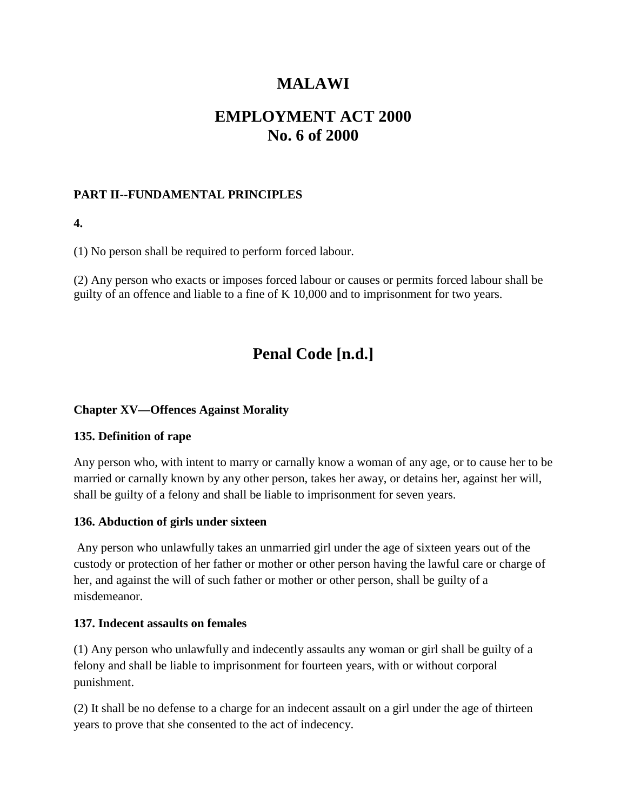# **MALAWI**

# **EMPLOYMENT ACT 2000 No. 6 of 2000**

## **PART II--FUNDAMENTAL PRINCIPLES**

**4.**

(1) No person shall be required to perform forced labour.

(2) Any person who exacts or imposes forced labour or causes or permits forced labour shall be guilty of an offence and liable to a fine of K 10,000 and to imprisonment for two years.

# **Penal Code [n.d.]**

#### **Chapter XV—Offences Against Morality**

#### **135. Definition of rape**

Any person who, with intent to marry or carnally know a woman of any age, or to cause her to be married or carnally known by any other person, takes her away, or detains her, against her will, shall be guilty of a felony and shall be liable to imprisonment for seven years.

#### **136. Abduction of girls under sixteen**

Any person who unlawfully takes an unmarried girl under the age of sixteen years out of the custody or protection of her father or mother or other person having the lawful care or charge of her, and against the will of such father or mother or other person, shall be guilty of a misdemeanor.

#### **137. Indecent assaults on females**

(1) Any person who unlawfully and indecently assaults any woman or girl shall be guilty of a felony and shall be liable to imprisonment for fourteen years, with or without corporal punishment.

(2) It shall be no defense to a charge for an indecent assault on a girl under the age of thirteen years to prove that she consented to the act of indecency.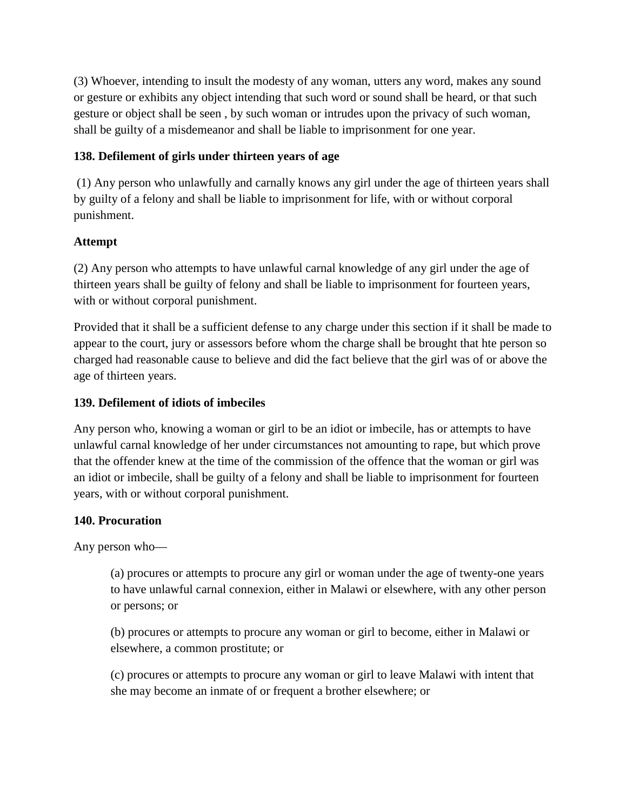(3) Whoever, intending to insult the modesty of any woman, utters any word, makes any sound or gesture or exhibits any object intending that such word or sound shall be heard, or that such gesture or object shall be seen , by such woman or intrudes upon the privacy of such woman, shall be guilty of a misdemeanor and shall be liable to imprisonment for one year.

### **138. Defilement of girls under thirteen years of age**

(1) Any person who unlawfully and carnally knows any girl under the age of thirteen years shall by guilty of a felony and shall be liable to imprisonment for life, with or without corporal punishment.

## **Attempt**

(2) Any person who attempts to have unlawful carnal knowledge of any girl under the age of thirteen years shall be guilty of felony and shall be liable to imprisonment for fourteen years, with or without corporal punishment.

Provided that it shall be a sufficient defense to any charge under this section if it shall be made to appear to the court, jury or assessors before whom the charge shall be brought that hte person so charged had reasonable cause to believe and did the fact believe that the girl was of or above the age of thirteen years.

## **139. Defilement of idiots of imbeciles**

Any person who, knowing a woman or girl to be an idiot or imbecile, has or attempts to have unlawful carnal knowledge of her under circumstances not amounting to rape, but which prove that the offender knew at the time of the commission of the offence that the woman or girl was an idiot or imbecile, shall be guilty of a felony and shall be liable to imprisonment for fourteen years, with or without corporal punishment.

### **140. Procuration**

Any person who—

(a) procures or attempts to procure any girl or woman under the age of twenty-one years to have unlawful carnal connexion, either in Malawi or elsewhere, with any other person or persons; or

(b) procures or attempts to procure any woman or girl to become, either in Malawi or elsewhere, a common prostitute; or

(c) procures or attempts to procure any woman or girl to leave Malawi with intent that she may become an inmate of or frequent a brother elsewhere; or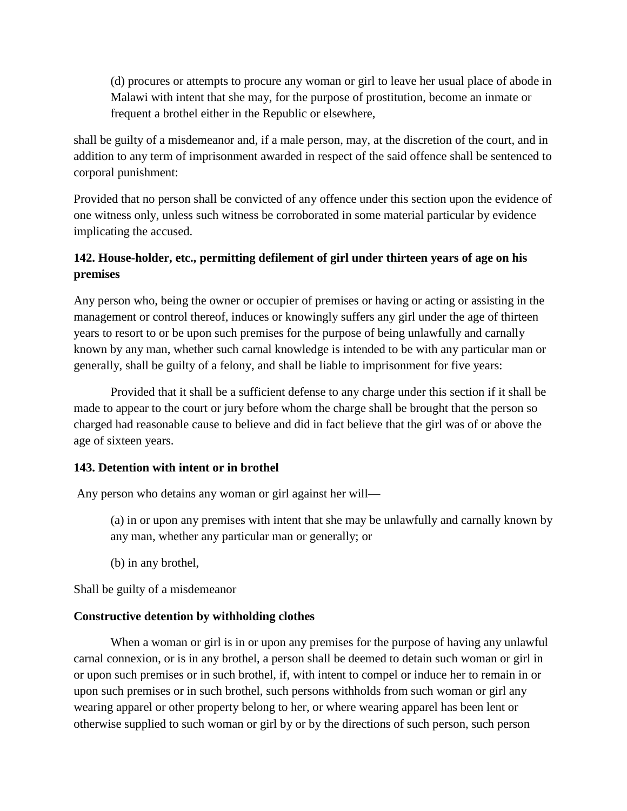(d) procures or attempts to procure any woman or girl to leave her usual place of abode in Malawi with intent that she may, for the purpose of prostitution, become an inmate or frequent a brothel either in the Republic or elsewhere,

shall be guilty of a misdemeanor and, if a male person, may, at the discretion of the court, and in addition to any term of imprisonment awarded in respect of the said offence shall be sentenced to corporal punishment:

Provided that no person shall be convicted of any offence under this section upon the evidence of one witness only, unless such witness be corroborated in some material particular by evidence implicating the accused.

## **142. House-holder, etc., permitting defilement of girl under thirteen years of age on his premises**

Any person who, being the owner or occupier of premises or having or acting or assisting in the management or control thereof, induces or knowingly suffers any girl under the age of thirteen years to resort to or be upon such premises for the purpose of being unlawfully and carnally known by any man, whether such carnal knowledge is intended to be with any particular man or generally, shall be guilty of a felony, and shall be liable to imprisonment for five years:

Provided that it shall be a sufficient defense to any charge under this section if it shall be made to appear to the court or jury before whom the charge shall be brought that the person so charged had reasonable cause to believe and did in fact believe that the girl was of or above the age of sixteen years.

### **143. Detention with intent or in brothel**

Any person who detains any woman or girl against her will—

(a) in or upon any premises with intent that she may be unlawfully and carnally known by any man, whether any particular man or generally; or

(b) in any brothel,

Shall be guilty of a misdemeanor

### **Constructive detention by withholding clothes**

When a woman or girl is in or upon any premises for the purpose of having any unlawful carnal connexion, or is in any brothel, a person shall be deemed to detain such woman or girl in or upon such premises or in such brothel, if, with intent to compel or induce her to remain in or upon such premises or in such brothel, such persons withholds from such woman or girl any wearing apparel or other property belong to her, or where wearing apparel has been lent or otherwise supplied to such woman or girl by or by the directions of such person, such person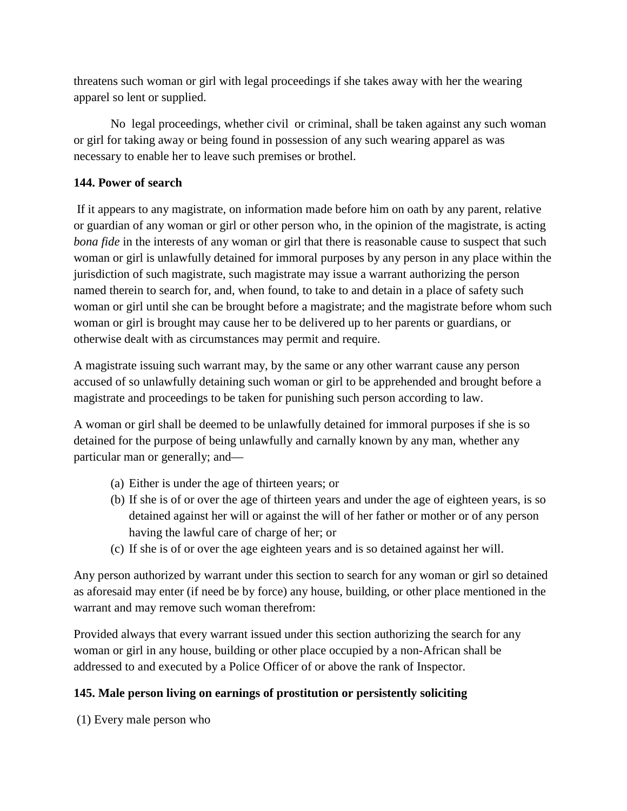threatens such woman or girl with legal proceedings if she takes away with her the wearing apparel so lent or supplied.

No legal proceedings, whether civil or criminal, shall be taken against any such woman or girl for taking away or being found in possession of any such wearing apparel as was necessary to enable her to leave such premises or brothel.

## **144. Power of search**

If it appears to any magistrate, on information made before him on oath by any parent, relative or guardian of any woman or girl or other person who, in the opinion of the magistrate, is acting *bona fide* in the interests of any woman or girl that there is reasonable cause to suspect that such woman or girl is unlawfully detained for immoral purposes by any person in any place within the jurisdiction of such magistrate, such magistrate may issue a warrant authorizing the person named therein to search for, and, when found, to take to and detain in a place of safety such woman or girl until she can be brought before a magistrate; and the magistrate before whom such woman or girl is brought may cause her to be delivered up to her parents or guardians, or otherwise dealt with as circumstances may permit and require.

A magistrate issuing such warrant may, by the same or any other warrant cause any person accused of so unlawfully detaining such woman or girl to be apprehended and brought before a magistrate and proceedings to be taken for punishing such person according to law.

A woman or girl shall be deemed to be unlawfully detained for immoral purposes if she is so detained for the purpose of being unlawfully and carnally known by any man, whether any particular man or generally; and—

- (a) Either is under the age of thirteen years; or
- (b) If she is of or over the age of thirteen years and under the age of eighteen years, is so detained against her will or against the will of her father or mother or of any person having the lawful care of charge of her; or
- (c) If she is of or over the age eighteen years and is so detained against her will.

Any person authorized by warrant under this section to search for any woman or girl so detained as aforesaid may enter (if need be by force) any house, building, or other place mentioned in the warrant and may remove such woman therefrom:

Provided always that every warrant issued under this section authorizing the search for any woman or girl in any house, building or other place occupied by a non-African shall be addressed to and executed by a Police Officer of or above the rank of Inspector.

## **145. Male person living on earnings of prostitution or persistently soliciting**

(1) Every male person who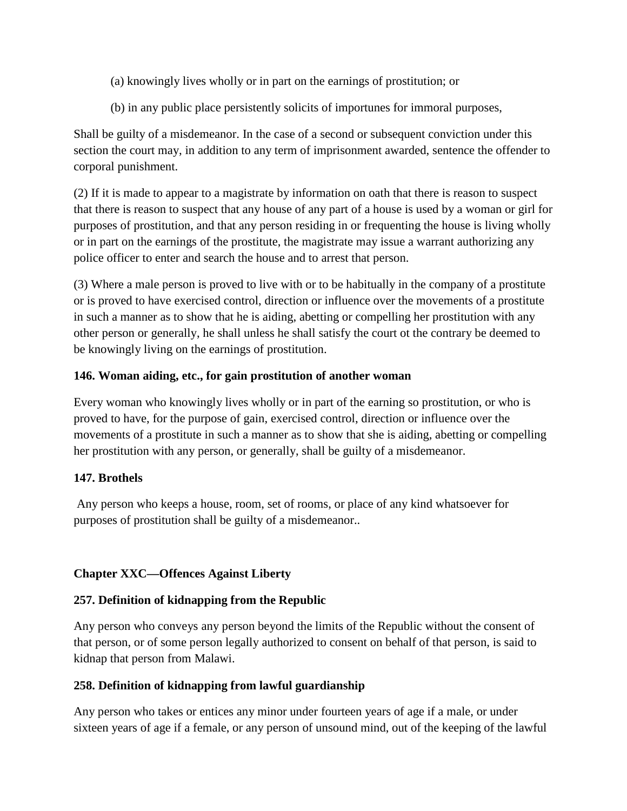- (a) knowingly lives wholly or in part on the earnings of prostitution; or
- (b) in any public place persistently solicits of importunes for immoral purposes,

Shall be guilty of a misdemeanor. In the case of a second or subsequent conviction under this section the court may, in addition to any term of imprisonment awarded, sentence the offender to corporal punishment.

(2) If it is made to appear to a magistrate by information on oath that there is reason to suspect that there is reason to suspect that any house of any part of a house is used by a woman or girl for purposes of prostitution, and that any person residing in or frequenting the house is living wholly or in part on the earnings of the prostitute, the magistrate may issue a warrant authorizing any police officer to enter and search the house and to arrest that person.

(3) Where a male person is proved to live with or to be habitually in the company of a prostitute or is proved to have exercised control, direction or influence over the movements of a prostitute in such a manner as to show that he is aiding, abetting or compelling her prostitution with any other person or generally, he shall unless he shall satisfy the court ot the contrary be deemed to be knowingly living on the earnings of prostitution.

## **146. Woman aiding, etc., for gain prostitution of another woman**

Every woman who knowingly lives wholly or in part of the earning so prostitution, or who is proved to have, for the purpose of gain, exercised control, direction or influence over the movements of a prostitute in such a manner as to show that she is aiding, abetting or compelling her prostitution with any person, or generally, shall be guilty of a misdemeanor.

### **147. Brothels**

Any person who keeps a house, room, set of rooms, or place of any kind whatsoever for purposes of prostitution shall be guilty of a misdemeanor..

## **Chapter XXC—Offences Against Liberty**

## **257. Definition of kidnapping from the Republic**

Any person who conveys any person beyond the limits of the Republic without the consent of that person, or of some person legally authorized to consent on behalf of that person, is said to kidnap that person from Malawi.

### **258. Definition of kidnapping from lawful guardianship**

Any person who takes or entices any minor under fourteen years of age if a male, or under sixteen years of age if a female, or any person of unsound mind, out of the keeping of the lawful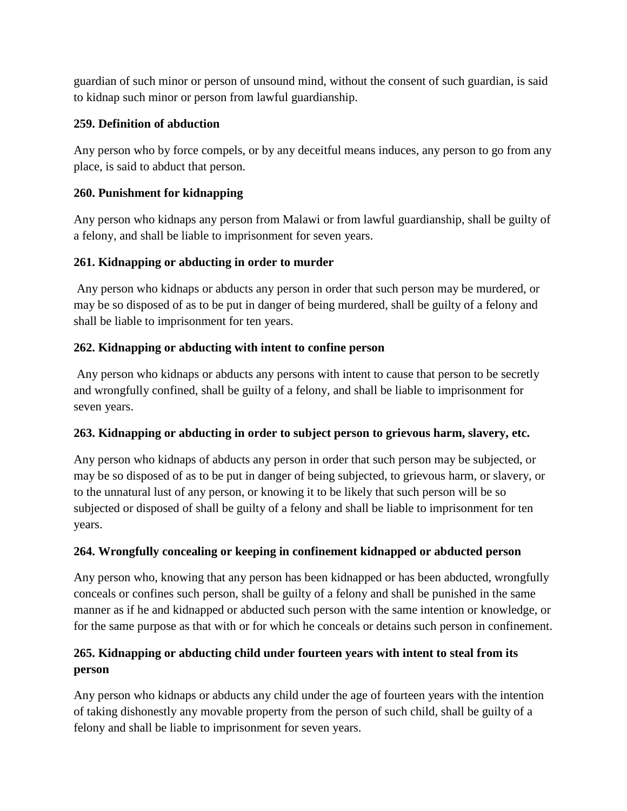guardian of such minor or person of unsound mind, without the consent of such guardian, is said to kidnap such minor or person from lawful guardianship.

## **259. Definition of abduction**

Any person who by force compels, or by any deceitful means induces, any person to go from any place, is said to abduct that person.

## **260. Punishment for kidnapping**

Any person who kidnaps any person from Malawi or from lawful guardianship, shall be guilty of a felony, and shall be liable to imprisonment for seven years.

## **261. Kidnapping or abducting in order to murder**

Any person who kidnaps or abducts any person in order that such person may be murdered, or may be so disposed of as to be put in danger of being murdered, shall be guilty of a felony and shall be liable to imprisonment for ten years.

## **262. Kidnapping or abducting with intent to confine person**

Any person who kidnaps or abducts any persons with intent to cause that person to be secretly and wrongfully confined, shall be guilty of a felony, and shall be liable to imprisonment for seven years.

### **263. Kidnapping or abducting in order to subject person to grievous harm, slavery, etc.**

Any person who kidnaps of abducts any person in order that such person may be subjected, or may be so disposed of as to be put in danger of being subjected, to grievous harm, or slavery, or to the unnatural lust of any person, or knowing it to be likely that such person will be so subjected or disposed of shall be guilty of a felony and shall be liable to imprisonment for ten years.

## **264. Wrongfully concealing or keeping in confinement kidnapped or abducted person**

Any person who, knowing that any person has been kidnapped or has been abducted, wrongfully conceals or confines such person, shall be guilty of a felony and shall be punished in the same manner as if he and kidnapped or abducted such person with the same intention or knowledge, or for the same purpose as that with or for which he conceals or detains such person in confinement.

## **265. Kidnapping or abducting child under fourteen years with intent to steal from its person**

Any person who kidnaps or abducts any child under the age of fourteen years with the intention of taking dishonestly any movable property from the person of such child, shall be guilty of a felony and shall be liable to imprisonment for seven years.